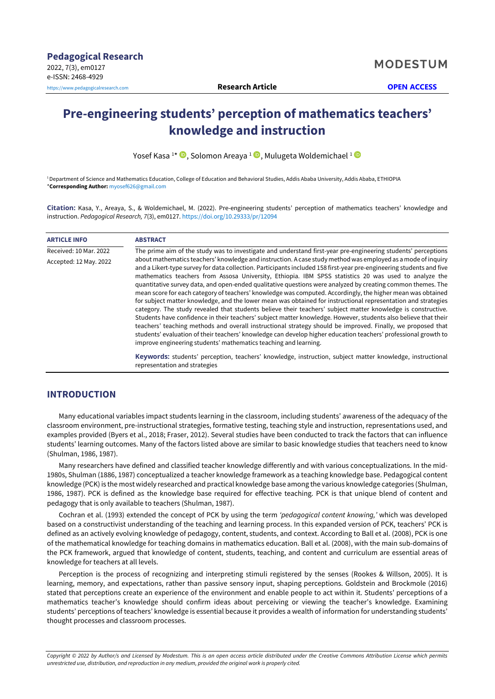# **Pre-engineering students' perception of mathematics teachers' knowledge and instruction**

Yosef Kasa <sup>1</sup> \* , Solomon Areaya <sup>1</sup> [,](https://orcid.org/0000-0002-9363-4293) Mulugeta Woldemichael <sup>1</sup>

<sup>1</sup> Department of Science and Mathematics Education, College of Education and Behavioral Studies, Addis Ababa University, Addis Ababa, ETHIOPIA \***Corresponding Author:** [myosef626@gmail.com](mailto:myosef626@gmail.com)

**Citation:** Kasa, Y., Areaya, S., & Woldemichael, M. (2022). Pre-engineering students' perception of mathematics teachers' knowledge and instruction. *Pedagogical Research, 7*(3), em0127. <https://doi.org/10.29333/pr/12094>

| <b>ARTICLE INFO</b>    | <b>ABSTRACT</b>                                                                                                                                                                                                                                                                                                                                                                                                                                                                                                                                                                                                                                                                                                                                                                                                                                                                                                                                                                                                                                                                                                                                                                                                                       |
|------------------------|---------------------------------------------------------------------------------------------------------------------------------------------------------------------------------------------------------------------------------------------------------------------------------------------------------------------------------------------------------------------------------------------------------------------------------------------------------------------------------------------------------------------------------------------------------------------------------------------------------------------------------------------------------------------------------------------------------------------------------------------------------------------------------------------------------------------------------------------------------------------------------------------------------------------------------------------------------------------------------------------------------------------------------------------------------------------------------------------------------------------------------------------------------------------------------------------------------------------------------------|
| Received: 10 Mar. 2022 | The prime aim of the study was to investigate and understand first-year pre-engineering students' perceptions                                                                                                                                                                                                                                                                                                                                                                                                                                                                                                                                                                                                                                                                                                                                                                                                                                                                                                                                                                                                                                                                                                                         |
| Accepted: 12 May. 2022 | about mathematics teachers' knowledge and instruction. A case study method was employed as a mode of inquiry<br>and a Likert-type survey for data collection. Participants included 158 first-year pre-engineering students and five<br>mathematics teachers from Assosa University, Ethiopia. IBM SPSS statistics 20 was used to analyze the<br>quantitative survey data, and open-ended qualitative questions were analyzed by creating common themes. The<br>mean score for each category of teachers' knowledge was computed. Accordingly, the higher mean was obtained<br>for subject matter knowledge, and the lower mean was obtained for instructional representation and strategies<br>category. The study revealed that students believe their teachers' subject matter knowledge is constructive.<br>Students have confidence in their teachers' subject matter knowledge. However, students also believe that their<br>teachers' teaching methods and overall instructional strategy should be improved. Finally, we proposed that<br>students' evaluation of their teachers' knowledge can develop higher education teachers' professional growth to<br>improve engineering students' mathematics teaching and learning. |
|                        | Keywords: students' perception, teachers' knowledge, instruction, subject matter knowledge, instructional<br>representation and strategies                                                                                                                                                                                                                                                                                                                                                                                                                                                                                                                                                                                                                                                                                                                                                                                                                                                                                                                                                                                                                                                                                            |

# **INTRODUCTION**

Many educational variables impact students learning in the classroom, including students' awareness of the adequacy of the classroom environment, pre-instructional strategies, formative testing, teaching style and instruction, representations used, and examples provided (Byers et al., 2018; Fraser, 2012). Several studies have been conducted to track the factors that can influence students' learning outcomes. Many of the factors listed above are similar to basic knowledge studies that teachers need to know (Shulman, 1986, 1987).

Many researchers have defined and classified teacher knowledge differently and with various conceptualizations. In the mid-1980s, Shulman (1886, 1987) conceptualized a teacher knowledge framework as a teaching knowledge base. Pedagogical content knowledge (PCK) is the most widely researched and practical knowledge base among the various knowledge categories (Shulman, 1986, 1987). PCK is defined as the knowledge base required for effective teaching. PCK is that unique blend of content and pedagogy that is only available to teachers (Shulman, 1987).

Cochran et al. (1993) extended the concept of PCK by using the term *'pedagogical content knowing,'* which was developed based on a constructivist understanding of the teaching and learning process. In this expanded version of PCK, teachers' PCK is defined as an actively evolving knowledge of pedagogy, content, students, and context. According to Ball et al. (2008), PCK is one of the mathematical knowledge for teaching domains in mathematics education. Ball et al. (2008), with the main sub-domains of the PCK framework, argued that knowledge of content, students, teaching, and content and curriculum are essential areas of knowledge for teachers at all levels.

Perception is the process of recognizing and interpreting stimuli registered by the senses (Rookes & Willson, 2005). It is learning, memory, and expectations, rather than passive sensory input, shaping perceptions. Goldstein and Brockmole (2016) stated that perceptions create an experience of the environment and enable people to act within it. Students' perceptions of a mathematics teacher's knowledge should confirm ideas about perceiving or viewing the teacher's knowledge. Examining students' perceptions of teachers' knowledge is essential because it provides a wealth of information for understanding students' thought processes and classroom processes.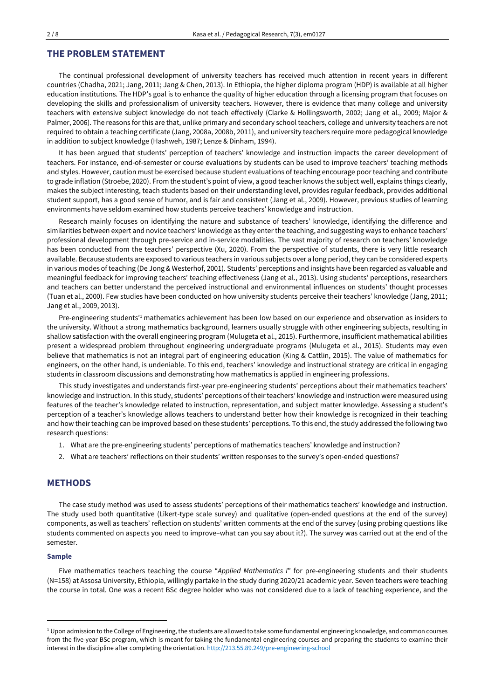## **THE PROBLEM STATEMENT**

The continual professional development of university teachers has received much attention in recent years in different countries (Chadha, 2021; Jang, 2011; Jang & Chen, 2013). In Ethiopia, the higher diploma program (HDP) is available at all higher education institutions. The HDP's goal is to enhance the quality of higher education through a licensing program that focuses on developing the skills and professionalism of university teachers. However, there is evidence that many college and university teachers with extensive subject knowledge do not teach effectively (Clarke & Hollingsworth, 2002; Jang et al., 2009; Major & Palmer, 2006). The reasons for this are that, unlike primary and secondary school teachers, college and university teachers are not required to obtain a teaching certificate (Jang, 2008a, 2008b, 2011), and university teachers require more pedagogical knowledge in addition to subject knowledge (Hashweh, 1987; Lenze & Dinham, 1994).

It has been argued that students' perception of teachers' knowledge and instruction impacts the career development of teachers. For instance, end-of-semester or course evaluations by students can be used to improve teachers' teaching methods and styles. However, caution must be exercised because student evaluations of teaching encourage poorteaching and contribute to grade inflation (Stroebe, 2020). From the student's point of view, a good teacher knows the subject well, explains things clearly, makes the subject interesting, teach students based on their understanding level, provides regular feedback, provides additional student support, has a good sense of humor, and is fair and consistent (Jang et al., 2009). However, previous studies of learning environments have seldom examined how students perceive teachers' knowledge and instruction.

Research mainly focuses on identifying the nature and substance of teachers' knowledge, identifying the difference and similarities between expert and novice teachers' knowledge as they enter the teaching, and suggesting ways to enhance teachers' professional development through pre-service and in-service modalities. The vast majority of research on teachers' knowledge has been conducted from the teachers' perspective (Xu, 2020). From the perspective of students, there is very little research available. Because students are exposed to various teachers in various subjects over a long period, they can be considered experts in various modes of teaching (De Jong & Westerhof, 2001). Students' perceptions and insights have been regarded as valuable and meaningful feedback for improving teachers' teaching effectiveness (Jang et al., 2013). Using students' perceptions, researchers and teachers can better understand the perceived instructional and environmental influences on students' thought processes (Tuan et al., 2000). Few studies have been conducted on how university students perceive their teachers' knowledge (Jang, 2011; Jang et al., 2009, 2013).

Pre-engineering students<sup>1</sup> mathematics achievement has been low based on our experience and observation as insiders to the university. Without a strong mathematics background, learners usually struggle with other engineering subjects, resulting in shallow satisfaction with the overall engineering program (Mulugeta et al., 2015). Furthermore, insufficient mathematical abilities present a widespread problem throughout engineering undergraduate programs (Mulugeta et al., 2015). Students may even believe that mathematics is not an integral part of engineering education (King & Cattlin, 2015). The value of mathematics for engineers, on the other hand, is undeniable. To this end, teachers' knowledge and instructional strategy are critical in engaging students in classroom discussions and demonstrating how mathematics is applied in engineering professions.

This study investigates and understands first-year pre-engineering students' perceptions about their mathematics teachers' knowledge and instruction. In this study, students' perceptions of their teachers' knowledge and instruction were measured using features of the teacher's knowledge related to instruction, representation, and subject matter knowledge. Assessing a student's perception of a teacher's knowledge allows teachers to understand better how their knowledge is recognized in their teaching and how their teaching can be improved based on these students' perceptions. To this end, the study addressed the following two research questions:

- 1. What are the pre-engineering students' perceptions of mathematics teachers' knowledge and instruction?
- 2. What are teachers' reflections on their students' written responses to the survey's open-ended questions?

## **METHODS**

The case study method was used to assess students' perceptions of their mathematics teachers' knowledge and instruction. The study used both quantitative (Likert-type scale survey) and qualitative (open-ended questions at the end of the survey) components, as well as teachers' reflection on students' written comments at the end of the survey (using probing questions like students commented on aspects you need to improve–what can you say about it?). The survey was carried out at the end of the semester.

#### **Sample**

Five mathematics teachers teaching the course "*Applied Mathematics I*" for pre-engineering students and their students (N=158) at Assosa University, Ethiopia, willingly partake in the study during 2020/21 academic year. Seven teachers were teaching the course in total. One was a recent BSc degree holder who was not considered due to a lack of teaching experience, and the

<sup>&</sup>lt;sup>1</sup> Upon admission to the College of Engineering, the students are allowed to take some fundamental engineering knowledge, and common courses from the five-year BSc program, which is meant for taking the fundamental engineering courses and preparing the students to examine their interest in the discipline after completing the orientation. <http://213.55.89.249/pre-engineering-school>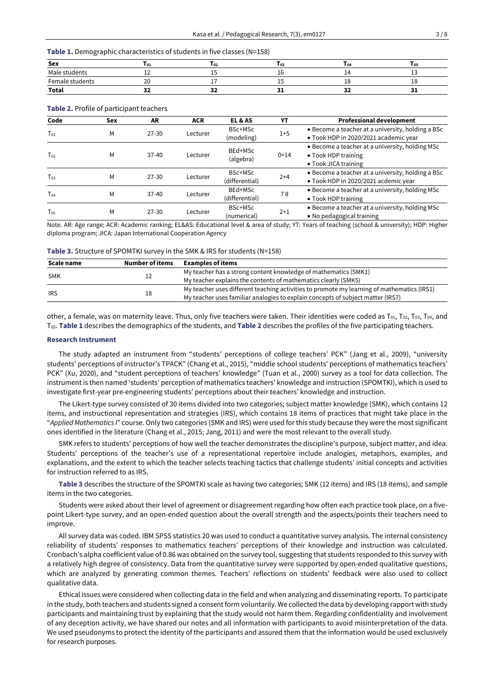## **Table 1.** Demographic characteristics of students in five classes (N=158)

| Sex              | <b>101</b>    | <b>102</b>    | <b>103</b> | $I_{04}$ | <b>105</b> |
|------------------|---------------|---------------|------------|----------|------------|
| Male<br>students | ᅩᄼ            | سربان         | <b></b>    |          | --         |
| Female students  | $\Omega$<br>ี |               | --         | ∸        | ᅩ          |
| Total            | $\sim$<br>. . | $\sim$<br>- - |            | --       |            |

| Code     | Sex | AR        | <b>ACR</b> | EL & AS                   | YT      | <b>Professional development</b>                                                                |
|----------|-----|-----------|------------|---------------------------|---------|------------------------------------------------------------------------------------------------|
| $T_{01}$ | Μ   | $27 - 30$ | Lecturer   | BSc+MSc<br>(modeling)     | $1 + 5$ | • Become a teacher at a university, holding a BSc<br>• Took HDP in 2020/2021 academic year     |
| $T_{02}$ | Μ   | $37-40$   | Lecturer   | BEd+MSc<br>(algebra)      | $0+14$  | • Become a teacher at a university, holding MSc<br>• Took HDP training<br>• Took JICA training |
| $T_{03}$ | Μ   | $27 - 30$ | Lecturer   | BSc+MSc<br>(differential) | $2+4$   | • Become a teacher at a university, holding a BSc<br>• Took HDP in 2020/2021 acdemic year      |
| $T_{04}$ | Μ   | $37-40$   | Lecturer   | BEd+MSc<br>(differential) | 78      | • Become a teacher at a university, holding MSc<br>• Took HDP training                         |
| $T_{05}$ | Μ   | $27 - 30$ | Lecturer   | BSc+MSc<br>(numerical)    | $2+1$   | • Become a teacher at a university, holding MSc<br>• No pedagogical training                   |

#### **Table 2.** Profile of participant teachers

Note. AR: Age range; ACR: Academic ranking; EL&AS: Educational level & area of study; YT: Years of teaching (school & university); HDP: Higher diploma program; JICA: Japan International Cooperation Agency

| Table 3. Structure of SPOMTKI survey in the SMK & IRS for students (N=158) |  |  |
|----------------------------------------------------------------------------|--|--|
|----------------------------------------------------------------------------|--|--|

| Scale name | Number of items | <b>Examples of items</b>                                                                   |
|------------|-----------------|--------------------------------------------------------------------------------------------|
| SMK        |                 | My teacher has a strong content knowledge of mathematics (SMK1)                            |
|            |                 | My teacher explains the contents of mathematics clearly (SMK5)                             |
| <b>IRS</b> |                 | My teacher uses different teaching activities to promote my learning of mathematics (IRS1) |
|            |                 | My teacher uses familiar analogies to explain concepts of subject matter (IRS7)            |

other, a female, was on maternity leave. Thus, only five teachers were taken. Their identities were coded as  $T_{01}$ ,  $T_{02}$ ,  $T_{03}$ ,  $T_{04}$ , and T05. **Table 1** describes the demographics of the students, and **Table 2** describes the profiles of the five participating teachers.

## **Research Instrument**

The study adapted an instrument from "students' perceptions of college teachers' PCK" (Jang et al., 2009), "university students' perceptions of instructor's TPACK" (Chang et al., 2015), "middle school students' perceptions of mathematics teachers' PCK" (Xu, 2020), and "student perceptions of teachers' knowledge" (Tuan et al., 2000) survey as a tool for data collection. The instrument is then named 'students' perception of mathematics teachers' knowledge and instruction (SPOMTKI), which is used to investigate first-year pre-engineering students' perceptions about their teachers' knowledge and instruction.

The Likert-type survey consisted of 30 items divided into two categories; subject matter knowledge (SMK), which contains 12 items, and instructional representation and strategies (IRS), which contains 18 items of practices that might take place in the "*Applied Mathematics I*" course. Only two categories (SMK and IRS) were used for this study because they were the most significant ones identified in the literature (Chang et al., 2015; Jang, 2011) and were the most relevant to the overall study.

SMK refers to students' perceptions of how well the teacher demonstrates the discipline's purpose, subject matter, and idea. Students' perceptions of the teacher's use of a representational repertoire include analogies, metaphors, examples, and explanations, and the extent to which the teacher selects teaching tactics that challenge students' initial concepts and activities for instruction referred to as IRS.

**Table 3** describes the structure of the SPOMTKI scale as having two categories; SMK (12 items) and IRS (18 items), and sample items in the two categories.

Students were asked about their level of agreement or disagreement regarding how often each practice took place, on a fivepoint Likert-type survey, and an open-ended question about the overall strength and the aspects/points their teachers need to improve.

All survey data was coded. IBM SPSS statistics 20 was used to conduct a quantitative survey analysis. The internal consistency reliability of students' responses to mathematics teachers' perceptions of their knowledge and instruction was calculated. Cronbach's alpha coefficient value of 0.86 was obtained on the survey tool, suggesting that students responded to this survey with a relatively high degree of consistency. Data from the quantitative survey were supported by open-ended qualitative questions, which are analyzed by generating common themes. Teachers' reflections on students' feedback were also used to collect qualitative data.

Ethical issues were considered when collecting data in the field and when analyzing and disseminating reports. To participate in the study, both teachers and students signed a consent form voluntarily. We collected the data by developing rapport with study participants and maintaining trust by explaining that the study would not harm them. Regarding confidentiality and involvement of any deception activity, we have shared our notes and all information with participants to avoid misinterpretation of the data. We used pseudonyms to protect the identity of the participants and assured them that the information would be used exclusively for research purposes.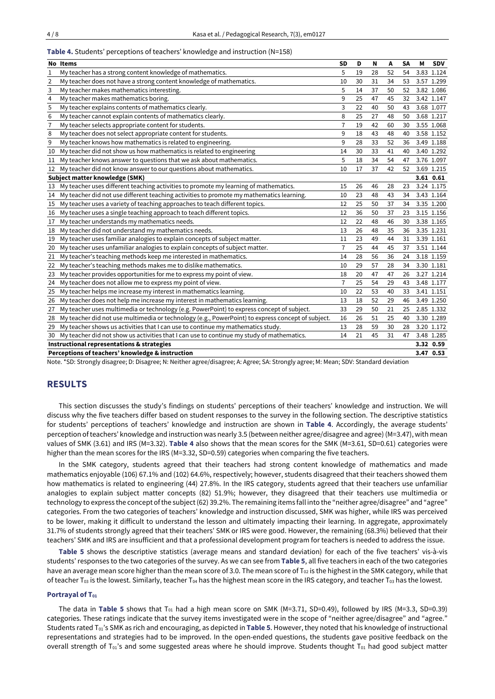|                                                         | No Items                                                                                          | <b>SD</b>      | D  | Ν  | Α  | <b>SA</b> | М | <b>SDV</b> |
|---------------------------------------------------------|---------------------------------------------------------------------------------------------------|----------------|----|----|----|-----------|---|------------|
| 1                                                       | My teacher has a strong content knowledge of mathematics.                                         | 5              | 19 | 28 | 52 | 54        |   | 3.83 1.124 |
| 2                                                       | My teacher does not have a strong content knowledge of mathematics.                               | 10             | 30 | 31 | 34 | 53        |   | 3.57 1.299 |
| 3                                                       | My teacher makes mathematics interesting.                                                         | 5              | 14 | 37 | 50 | 52        |   | 3.82 1.086 |
| 4                                                       | My teacher makes mathematics boring.                                                              | 9              | 25 | 47 | 45 | 32        |   | 3.42 1.147 |
| 5                                                       | My teacher explains contents of mathematics clearly.                                              | 3              | 22 | 40 | 50 | 43        |   | 3.68 1.077 |
| 6                                                       | My teacher cannot explain contents of mathematics clearly.                                        | 8              | 25 | 27 | 48 | 50        |   | 3.68 1.217 |
| 7                                                       | My teacher selects appropriate content for students.                                              | $\overline{7}$ | 19 | 42 | 60 | 30        |   | 3.55 1.068 |
| 8                                                       | My teacher does not select appropriate content for students.                                      | 9              | 18 | 43 | 48 | 40        |   | 3.58 1.152 |
| 9                                                       | My teacher knows how mathematics is related to engineering.                                       | 9              | 28 | 33 | 52 | 36        |   | 3.49 1.188 |
| 10                                                      | My teacher did not show us how mathematics is related to engineering                              | 14             | 30 | 33 | 41 | 40        |   | 3.40 1.292 |
| 11                                                      | My teacher knows answer to questions that we ask about mathematics.                               | 5              | 18 | 34 | 54 | 47        |   | 3.76 1.097 |
| 12                                                      | My teacher did not know answer to our questions about mathematics.                                | 10             | 17 | 37 | 42 | 52        |   | 3.69 1.215 |
|                                                         | Subject matter knowledge (SMK)                                                                    |                |    |    |    |           |   | 3.61 0.61  |
| 13                                                      | My teacher uses different teaching activities to promote my learning of mathematics.              | 15             | 26 | 46 | 28 | 23        |   | 3.24 1.175 |
| 14                                                      | My teacher did not use different teaching activities to promote my mathematics learning.          | 10             | 23 | 48 | 43 | 34        |   | 3.43 1.164 |
| 15                                                      | My teacher uses a variety of teaching approaches to teach different topics.                       | 12             | 25 | 50 | 37 | 34        |   | 3.35 1.200 |
| 16                                                      | My teacher uses a single teaching approach to teach different topics.                             | 12             | 36 | 50 | 37 | 23        |   | 3.15 1.156 |
| 17                                                      | My teacher understands my mathematics needs.                                                      | 12             | 22 | 48 | 46 | 30        |   | 3.38 1.165 |
| 18                                                      | My teacher did not understand my mathematics needs.                                               | 13             | 26 | 48 | 35 | 36        |   | 3.35 1.231 |
| 19                                                      | My teacher uses familiar analogies to explain concepts of subject matter.                         | 11             | 23 | 49 | 44 | 31        |   | 3.39 1.161 |
| 20                                                      | My teacher uses unfamiliar analogies to explain concepts of subject matter.                       | $\overline{7}$ | 25 | 44 | 45 | 37        |   | 3.51 1.144 |
| 21                                                      | My teacher's teaching methods keep me interested in mathematics.                                  | 14             | 28 | 56 | 36 | 24        |   | 3.18 1.159 |
| 22                                                      | My teacher's teaching methods makes me to dislike mathematics.                                    | 10             | 29 | 57 | 28 | 34        |   | 3.30 1.181 |
| 23                                                      | My teacher provides opportunities for me to express my point of view.                             | 18             | 20 | 47 | 47 | 26        |   | 3.27 1.214 |
| 24                                                      | My teacher does not allow me to express my point of view.                                         | $\overline{7}$ | 25 | 54 | 29 | 43        |   | 3.48 1.177 |
| 25                                                      | My teacher helps me increase my interest in mathematics learning.                                 | 10             | 22 | 53 | 40 | 33        |   | 3.41 1.151 |
| 26                                                      | My teacher does not help me increase my interest in mathematics learning.                         | 13             | 18 | 52 | 29 | 46        |   | 3.49 1.250 |
| 27                                                      | My teacher uses multimedia or technology (e.g. PowerPoint) to express concept of subject.         | 33             | 29 | 50 | 21 | 25        |   | 2.85 1.332 |
| 28                                                      | My teacher did not use multimedia or technology (e.g., PowerPoint) to express concept of subject. | 16             | 26 | 51 | 25 | 40        |   | 3.30 1.289 |
| 29                                                      | My teacher shows us activities that I can use to continue my mathematics study.                   | 13             | 28 | 59 | 30 | 28        |   | 3.20 1.172 |
| 30                                                      | My teacher did not show us activities that I can use to continue my study of mathematics.         | 14             | 21 | 45 | 31 | 47        |   | 3.48 1.285 |
| Instructional representations & strategies<br>3.32 0.59 |                                                                                                   |                |    |    |    |           |   |            |
|                                                         | Perceptions of teachers' knowledge & instruction                                                  |                |    |    |    |           |   | 3.47 0.53  |
|                                                         |                                                                                                   |                |    |    |    |           |   |            |

|  | Table 4. Students' perceptions of teachers' knowledge and instruction (N=158) |  |  |
|--|-------------------------------------------------------------------------------|--|--|
|--|-------------------------------------------------------------------------------|--|--|

Note. \*SD: Strongly disagree; D: Disagree; N: Neither agree/disagree; A: Agree; SA: Strongly agree; M: Mean; SDV: Standard deviation

# **RESULTS**

This section discusses the study's findings on students' perceptions of their teachers' knowledge and instruction. We will discuss why the five teachers differ based on student responses to the survey in the following section. The descriptive statistics for students' perceptions of teachers' knowledge and instruction are shown in **Table 4**. Accordingly, the average students' perception ofteachers' knowledge and instruction was nearly 3.5 (between neither agree/disagree and agree) (M=3.47), with mean values of SMK (3.61) and IRS (M=3.32). **Table 4** also shows that the mean scores for the SMK (M=3.61, SD=0.61) categories were higher than the mean scores for the IRS (M=3.32, SD=0.59) categories when comparing the five teachers.

In the SMK category, students agreed that their teachers had strong content knowledge of mathematics and made mathematics enjoyable (106) 67.1% and (102) 64.6%, respectively; however, students disagreed that their teachers showed them how mathematics is related to engineering (44) 27.8%. In the IRS category, students agreed that their teachers use unfamiliar analogies to explain subject matter concepts (82) 51.9%; however, they disagreed that their teachers use multimedia or technology to express the concept ofthe subject(62) 39.2%. The remaining items fall into the "neither agree/disagree" and "agree" categories. From the two categories of teachers' knowledge and instruction discussed, SMK was higher, while IRS was perceived to be lower, making it difficult to understand the lesson and ultimately impacting their learning. In aggregate, approximately 31.7% of students strongly agreed that their teachers' SMK or IRS were good. However, the remaining (68.3%) believed that their teachers' SMK and IRS are insufficient and that a professional development program for teachers is needed to address the issue.

**Table 5** shows the descriptive statistics (average means and standard deviation) for each of the five teachers' vis-à-vis students' responses to the two categories of the survey. As we can see from **Table 5**, all five teachers in each of the two categories have an average mean score higher than the mean score of 3.0. The mean score of T<sub>02</sub> is the highest in the SMK category, while that of teacher T<sub>03</sub> is the lowest. Similarly, teacher T<sub>04</sub> has the highest mean score in the IRS category, and teacher T<sub>03</sub> has the lowest.

## **Portrayal of T<sup>01</sup>**

The data in Table 5 shows that T<sub>01</sub> had a high mean score on SMK (M=3.71, SD=0.49), followed by IRS (M=3.3, SD=0.39) categories. These ratings indicate that the survey items investigated were in the scope of "neither agree/disagree" and "agree." Students rated T01's SMK as rich and encouraging, as depicted in **Table 5**. However, they noted that his knowledge of instructional representations and strategies had to be improved. In the open-ended questions, the students gave positive feedback on the overall strength of  $T_{01}$ 's and some suggested areas where he should improve. Students thought  $T_{01}$  had good subject matter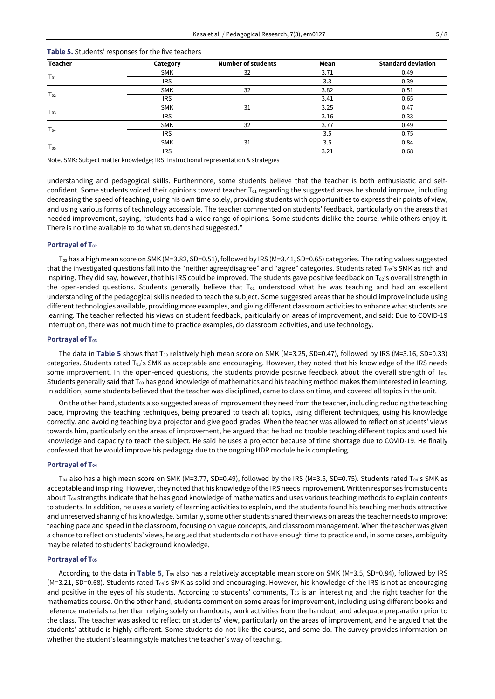| <b>Teacher</b> | Category   | <b>Number of students</b> | Mean | <b>Standard deviation</b> |
|----------------|------------|---------------------------|------|---------------------------|
| $T_{01}$       | <b>SMK</b> | 32                        | 3.71 | 0.49                      |
|                | <b>IRS</b> |                           | 3.3  | 0.39                      |
|                | <b>SMK</b> | 32                        | 3.82 | 0.51                      |
| $T_{02}$       | <b>IRS</b> |                           | 3.41 | 0.65                      |
|                | <b>SMK</b> | 31                        | 3.25 | 0.47                      |
| $T_{03}$       | <b>IRS</b> |                           | 3.16 | 0.33                      |
| $T_{04}$       | <b>SMK</b> | 32                        | 3.77 | 0.49                      |
|                | <b>IRS</b> |                           | 3.5  | 0.75                      |
| $T_{05}$       | <b>SMK</b> | 31                        | 3.5  | 0.84                      |
|                | <b>IRS</b> |                           | 3.21 | 0.68                      |

## **Table 5.** Students' responses for the five teachers

Note. SMK: Subject matter knowledge; IRS: Instructional representation & strategies

understanding and pedagogical skills. Furthermore, some students believe that the teacher is both enthusiastic and selfconfident. Some students voiced their opinions toward teacher  $T_{01}$  regarding the suggested areas he should improve, including decreasing the speed of teaching, using his own time solely, providing students with opportunities to express their points of view, and using various forms of technology accessible. The teacher commented on students' feedback, particularly on the areas that needed improvement, saying, "students had a wide range of opinions. Some students dislike the course, while others enjoy it. There is no time available to do what students had suggested."

## **Portrayal of T<sup>02</sup>**

 $T_{02}$  has a high mean score on SMK (M=3.82, SD=0.51), followed by IRS (M=3.41, SD=0.65) categories. The rating values suggested that the investigated questions fall into the "neither agree/disagree" and "agree" categories. Students rated T<sub>02</sub>'s SMK as rich and inspiring. They did say, however, that his IRS could be improved. The students gave positive feedback on T<sub>02</sub>'s overall strength in the open-ended questions. Students generally believe that  $T_{02}$  understood what he was teaching and had an excellent understanding of the pedagogical skills needed to teach the subject. Some suggested areas that he should improve include using different technologies available, providing more examples, and giving different classroom activities to enhance what students are learning. The teacher reflected his views on student feedback, particularly on areas of improvement, and said: Due to COVID-19 interruption, there was not much time to practice examples, do classroom activities, and use technology.

#### **Portrayal of T<sup>03</sup>**

The data in **Table 5** shows that T<sup>03</sup> relatively high mean score on SMK (M=3.25, SD=0.47), followed by IRS (M=3.16, SD=0.33) categories. Students rated  $T_{03}$ 's SMK as acceptable and encouraging. However, they noted that his knowledge of the IRS needs some improvement. In the open-ended questions, the students provide positive feedback about the overall strength of  $T<sub>03</sub>$ . Students generally said that T<sub>03</sub> has good knowledge of mathematics and his teaching method makes them interested in learning. In addition, some students believed that the teacher was disciplined, came to class on time, and covered all topics in the unit.

On the other hand, students also suggested areas of improvement they need from the teacher, including reducing the teaching pace, improving the teaching techniques, being prepared to teach all topics, using different techniques, using his knowledge correctly, and avoiding teaching by a projector and give good grades. When the teacher was allowed to reflect on students' views towards him, particularly on the areas of improvement, he argued that he had no trouble teaching different topics and used his knowledge and capacity to teach the subject. He said he uses a projector because of time shortage due to COVID-19. He finally confessed that he would improve his pedagogy due to the ongoing HDP module he is completing.

### **Portrayal of T<sup>04</sup>**

 $T_{04}$  also has a high mean score on SMK (M=3.77, SD=0.49), followed by the IRS (M=3.5, SD=0.75). Students rated T<sub>04</sub>'s SMK as acceptable and inspiring. However, they noted that his knowledge of the IRS needs improvement. Written responses from students about T<sub>04</sub> strengths indicate that he has good knowledge of mathematics and uses various teaching methods to explain contents to students. In addition, he uses a variety of learning activities to explain, and the students found his teaching methods attractive and unreserved sharing of his knowledge. Similarly, some other students shared their views on areas the teacher needs to improve: teaching pace and speed in the classroom, focusing on vague concepts, and classroom management. When the teacher was given a chance to reflect on students' views, he argued that students do not have enough time to practice and, in some cases, ambiguity may be related to students' background knowledge.

## **Portrayal of T<sup>05</sup>**

According to the data in **Table 5**, T<sup>05</sup> also has a relatively acceptable mean score on SMK (M=3.5, SD=0.84), followed by IRS (M=3.21, SD=0.68). Students rated T05's SMK as solid and encouraging. However, his knowledge of the IRS is not as encouraging and positive in the eyes of his students. According to students' comments, T<sub>05</sub> is an interesting and the right teacher for the mathematics course. On the other hand, students comment on some areas for improvement, including using different books and reference materials rather than relying solely on handouts, work activities from the handout, and adequate preparation prior to the class. The teacher was asked to reflect on students' view, particularly on the areas of improvement, and he argued that the students' attitude is highly different. Some students do not like the course, and some do. The survey provides information on whether the student's learning style matches the teacher's way of teaching.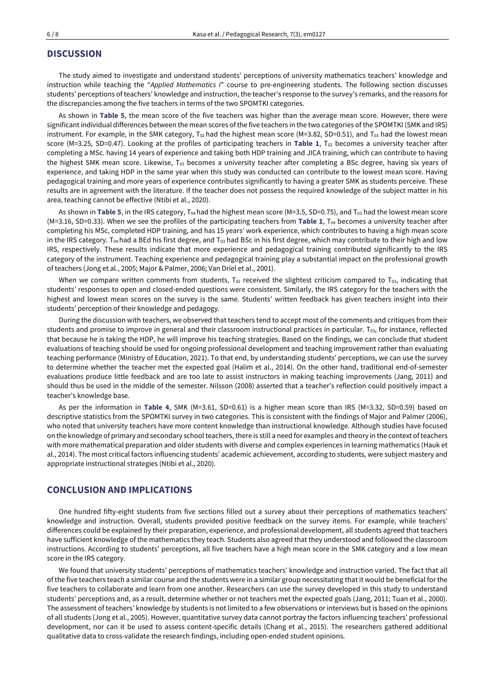# **DISCUSSION**

The study aimed to investigate and understand students' perceptions of university mathematics teachers' knowledge and instruction while teaching the "*Applied Mathematics I*" course to pre-engineering students. The following section discusses students' perceptions of teachers' knowledge and instruction, the teacher's response to the survey's remarks, and the reasons for the discrepancies among the five teachers in terms of the two SPOMTKI categories.

As shown in **Table 5**, the mean score of the five teachers was higher than the average mean score. However, there were significant individual differences between the mean scores of the five teachers in the two categories of the SPOMTKI (SMK and IRS) instrument. For example, in the SMK category,  $T_{02}$  had the highest mean score (M=3.82, SD=0.51), and  $T_{03}$  had the lowest mean score (M=3.25, SD=0.47). Looking at the profiles of participating teachers in **Table 1**, T<sup>02</sup> becomes a university teacher after completing a MSc. having 14 years of experience and taking both HDP training and JICA training, which can contribute to having the highest SMK mean score. Likewise,  $T_{03}$  becomes a university teacher after completing a BSc degree, having six years of experience, and taking HDP in the same year when this study was conducted can contribute to the lowest mean score. Having pedagogical training and more years of experience contributes significantly to having a greater SMK as students perceive. These results are in agreement with the literature. If the teacher does not possess the required knowledge of the subject matter in his area, teaching cannot be effective (Ntibi et al., 2020).

As shown in **Table 5**, in the IRS category, T<sub>04</sub> had the highest mean score (M=3.5, SD=0.75), and T<sub>03</sub> had the lowest mean score (M=3.16, SD=0.33). When we see the profiles of the participating teachers from **Table 1**, T<sup>04</sup> becomes a university teacher after completing his MSc, completed HDP training, and has 15 years' work experience, which contributes to having a high mean score in the IRS category. T<sub>04</sub> had a BEd his first degree, and T<sub>03</sub> had BSc in his first degree, which may contribute to their high and low IRS, respectively. These results indicate that more experience and pedagogical training contributed significantly to the IRS category of the instrument. Teaching experience and pedagogical training play a substantial impact on the professional growth of teachers (Jong et al., 2005; Major & Palmer, 2006; Van Driel et al., 2001).

When we compare written comments from students,  $T_{02}$  received the slightest criticism compared to  $T_{03}$ , indicating that students' responses to open and closed-ended questions were consistent. Similarly, the IRS category for the teachers with the highest and lowest mean scores on the survey is the same. Students' written feedback has given teachers insight into their students' perception of their knowledge and pedagogy.

During the discussion with teachers, we observed that teachers tend to accept most of the comments and critiques from their students and promise to improve in general and their classroom instructional practices in particular. T03, for instance, reflected that because he is taking the HDP, he will improve his teaching strategies. Based on the findings, we can conclude that student evaluations of teaching should be used for ongoing professional development and teaching improvement rather than evaluating teaching performance (Ministry of Education, 2021). To that end, by understanding students' perceptions, we can use the survey to determine whether the teacher met the expected goal (Halim et al., 2014). On the other hand, traditional end-of-semester evaluations produce little feedback and are too late to assist instructors in making teaching improvements (Jang, 2011) and should thus be used in the middle of the semester. Nilsson (2008) asserted that a teacher's reflection could positively impact a teacher's knowledge base.

As per the information in **Table 4**, SMK (M=3.61, SD=0.61) is a higher mean score than IRS (M=3.32, SD=0.59) based on descriptive statistics from the SPOMTKI survey in two categories. This is consistent with the findings of Major and Palmer (2006), who noted that university teachers have more content knowledge than instructional knowledge. Although studies have focused on the knowledge of primary and secondary school teachers, there is still a need for examples and theory in the context of teachers with more mathematical preparation and older students with diverse and complex experiences in learning mathematics (Hauk et al., 2014). The most critical factors influencing students' academic achievement, according to students, were subject mastery and appropriate instructional strategies (Ntibi et al., 2020).

# **CONCLUSION AND IMPLICATIONS**

One hundred fifty-eight students from five sections filled out a survey about their perceptions of mathematics teachers' knowledge and instruction. Overall, students provided positive feedback on the survey items. For example, while teachers' differences could be explained by their preparation, experience, and professional development, all students agreed that teachers have sufficient knowledge of the mathematics they teach. Students also agreed that they understood and followed the classroom instructions. According to students' perceptions, all five teachers have a high mean score in the SMK category and a low mean score in the IRS category.

We found that university students' perceptions of mathematics teachers' knowledge and instruction varied. The fact that all of the five teachers teach a similar course and the students were in a similar group necessitating that it would be beneficial for the five teachers to collaborate and learn from one another. Researchers can use the survey developed in this study to understand students' perceptions and, as a result, determine whether or not teachers met the expected goals (Jang, 2011; Tuan et al., 2000). The assessment of teachers' knowledge by students is not limited to a few observations or interviews but is based on the opinions of all students (Jong et al., 2005). However, quantitative survey data cannot portray the factors influencing teachers' professional development, nor can it be used to assess content-specific details (Chang et al., 2015). The researchers gathered additional qualitative data to cross-validate the research findings, including open-ended student opinions.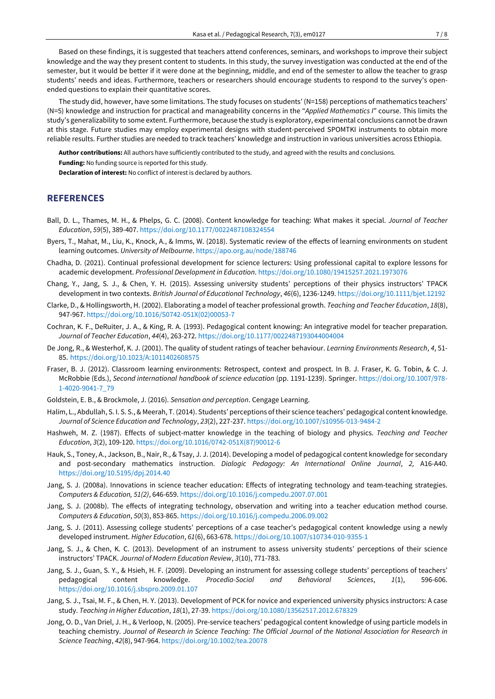Based on these findings, it is suggested that teachers attend conferences, seminars, and workshops to improve their subject knowledge and the way they present content to students. In this study, the survey investigation was conducted at the end of the semester, but it would be better if it were done at the beginning, middle, and end of the semester to allow the teacher to grasp students' needs and ideas. Furthermore, teachers or researchers should encourage students to respond to the survey's openended questions to explain their quantitative scores.

The study did, however, have some limitations. The study focuses on students' (N=158) perceptions of mathematics teachers' (N=5) knowledge and instruction for practical and manageability concerns in the "*Applied Mathematics I*" course. This limits the study's generalizability to some extent. Furthermore, because the study is exploratory, experimental conclusions cannot be drawn at this stage. Future studies may employ experimental designs with student-perceived SPOMTKI instruments to obtain more reliable results. Further studies are needed to track teachers' knowledge and instruction in various universities across Ethiopia.

**Author contributions:** All authors have sufficiently contributed to the study, and agreed with the results and conclusions.

**Funding:** No funding source is reported for this study.

**Declaration of interest:** No conflict of interest is declared by authors.

# **REFERENCES**

- Ball, D. L., Thames, M. H., & Phelps, G. C. (2008). Content knowledge for teaching: What makes it special. *Journal of Teacher Education*, *59*(5), 389-407. <https://doi.org/10.1177/0022487108324554>
- Byers, T., Mahat, M., Liu, K., Knock, A., & Imms, W. (2018). Systematic review of the effects of learning environments on student learning outcomes. *University of Melbourne*. <https://apo.org.au/node/188746>
- Chadha, D. (2021). Continual professional development for science lecturers: Using professional capital to explore lessons for academic development. *Professional Development in Education*. <https://doi.org/10.1080/19415257.2021.1973076>
- Chang, Y., Jang, S. J., & Chen, Y. H. (2015). Assessing university students' perceptions of their physics instructors' TPACK development in two contexts. *British Journal of Educational Technology*, *46*(6), 1236-1249. <https://doi.org/10.1111/bjet.12192>
- Clarke, D., & Hollingsworth, H. (2002). Elaborating a model of teacher professional growth. *Teaching and Teacher Education*, *18*(8), 947-967. [https://doi.org/10.1016/S0742-051X\(02\)00053-7](https://doi.org/10.1016/S0742-051X(02)00053-7)
- Cochran, K. F., DeRuiter, J. A., & King, R. A. (1993). Pedagogical content knowing: An integrative model for teacher preparation. *Journal of Teacher Education*, *44*(4), 263-272. <https://doi.org/10.1177/0022487193044004004>
- De Jong, R., & Westerhof, K. J. (2001). The quality of student ratings of teacher behaviour. *Learning Environments Research*, *4*, 51- 85. <https://doi.org/10.1023/A:1011402608575>
- Fraser, B. J. (2012). Classroom learning environments: Retrospect, context and prospect. In B. J. Fraser, K. G. Tobin, & C. J. McRobbie (Eds.), *Second international handbook of science education* (pp. 1191-1239). Springer. [https://doi.org/10.1007/978-](https://doi.org/10.1007/978-1-4020-9041-7_79) [1-4020-9041-7\\_79](https://doi.org/10.1007/978-1-4020-9041-7_79)
- Goldstein, E. B., & Brockmole, J. (2016). *Sensation and perception*. Cengage Learning.
- Halim, L., Abdullah, S. I. S. S., & Meerah, T. (2014). Students' perceptions oftheir science teachers' pedagogical content knowledge. *Journal of Science Education and Technology*, *23*(2), 227-237. <https://doi.org/10.1007/s10956-013-9484-2>
- Hashweh, M. Z. (1987). Effects of subject-matter knowledge in the teaching of biology and physics. *Teaching and Teacher Education*, *3*(2), 109-120. [https://doi.org/10.1016/0742-051X\(87\)90012-6](https://doi.org/10.1016/0742-051X(87)90012-6)
- Hauk, S., Toney, A., Jackson, B., Nair, R., & Tsay, J. J. (2014). Developing a model of pedagogical content knowledge for secondary and post-secondary mathematics instruction. *Dialogic Pedagogy: An International Online Journal*, *2,* A16-A40. <https://doi.org/10.5195/dpj.2014.40>
- Jang, S. J. (2008a). Innovations in science teacher education: Effects of integrating technology and team-teaching strategies. *Computers & Education, 51(2)*, 646-659. <https://doi.org/10.1016/j.compedu.2007.07.001>
- Jang, S. J. (2008b). The effects of integrating technology, observation and writing into a teacher education method course. *Computers & Education*, *50*(3), 853-865. <https://doi.org/10.1016/j.compedu.2006.09.002>
- Jang, S. J. (2011). Assessing college students' perceptions of a case teacher's pedagogical content knowledge using a newly developed instrument. *Higher Education*, *61*(6), 663-678. <https://doi.org/10.1007/s10734-010-9355-1>
- Jang, S. J., & Chen, K. C. (2013). Development of an instrument to assess university students' perceptions of their science instructors' TPACK. *Journal of Modern Education Review*, *3*(10), 771-783.
- Jang, S. J., Guan, S. Y., & Hsieh, H. F. (2009). Developing an instrument for assessing college students' perceptions of teachers' pedagogical content knowledge. *Procedia-Social and Behavioral Sciences*, *1*(1), 596-606. <https://doi.org/10.1016/j.sbspro.2009.01.107>
- Jang, S. J., Tsai, M. F., & Chen, H. Y. (2013). Development of PCK for novice and experienced university physics instructors: A case study. *Teaching in Higher Education*, *18*(1), 27-39. <https://doi.org/10.1080/13562517.2012.678329>
- Jong, O. D., Van Driel, J. H., & Verloop, N. (2005). Pre-service teachers' pedagogical content knowledge of using particle models in teaching chemistry. Journal of Research in Science Teaching: The Official Journal of the National Association for Research in *Science Teaching*, *42*(8), 947-964. <https://doi.org/10.1002/tea.20078>